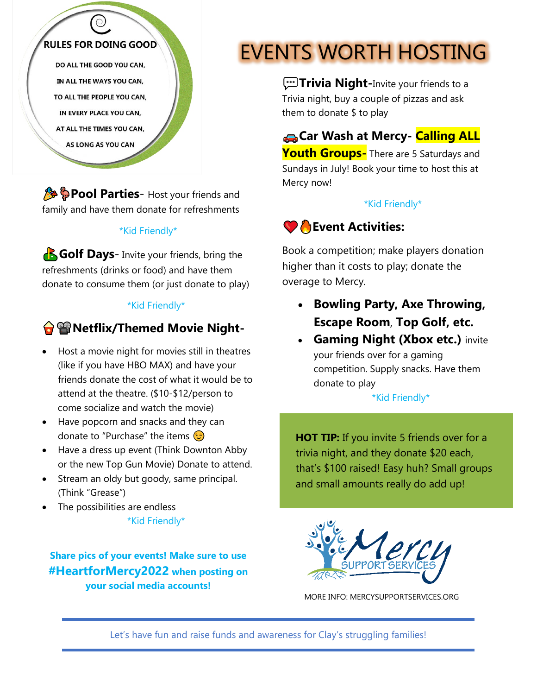

**& Pool Parties**- Host your friends and family and have them donate for refreshments

#### \*Kid Friendly\*

**B**Golf Days- Invite your friends, bring the refreshments (drinks or food) and have them donate to consume them (or just donate to play)

#### \*Kid Friendly\*

#### �����
������**Netflix/Themed Movie Night-**

- Host a movie night for movies still in theatres (like if you have HBO MAX) and have your friends donate the cost of what it would be to attend at the theatre. (\$10-\$12/person to come socialize and watch the movie)
- Have popcorn and snacks and they can donate to "Purchase" the items  $\circled{e}$
- Have a dress up event (Think Downton Abby or the new Top Gun Movie) Donate to attend.
- Stream an oldy but goody, same principal. (Think "Grease")
- The possibilities are endless

#### \*Kid Friendly\*

**Share pics of your events! Make sure to use #HeartforMercy2022 when posting on your social media accounts!**

# EVENTS WORTH HOSTING

*w*Trivia Night-Invite your friends to a Trivia night, buy a couple of pizzas and ask them to donate \$ to play

��������**Car Wash at Mercy- Calling ALL Youth Groups-** There are 5 Saturdays and Sundays in July! Book your time to host this at Mercy now!

#### \*Kid Friendly\*

# ���
���� **Event Activities:**

Book a competition; make players donation higher than it costs to play; donate the overage to Mercy.

- **Bowling Party, Axe Throwing, Escape Room**, **Top Golf, etc.**
- **Gaming Night (Xbox etc.) invite** your friends over for a gaming competition. Supply snacks. Have them donate to play

#### \*Kid Friendly\*

**HOT TIP:** If you invite 5 friends over for a trivia night, and they donate \$20 each, that's \$100 raised! Easy huh? Small groups and small amounts really do add up!



MORE INFO: MERCYSUPPORTSERVICES.ORG

Let's have fun and raise funds and awareness for Clay's struggling families!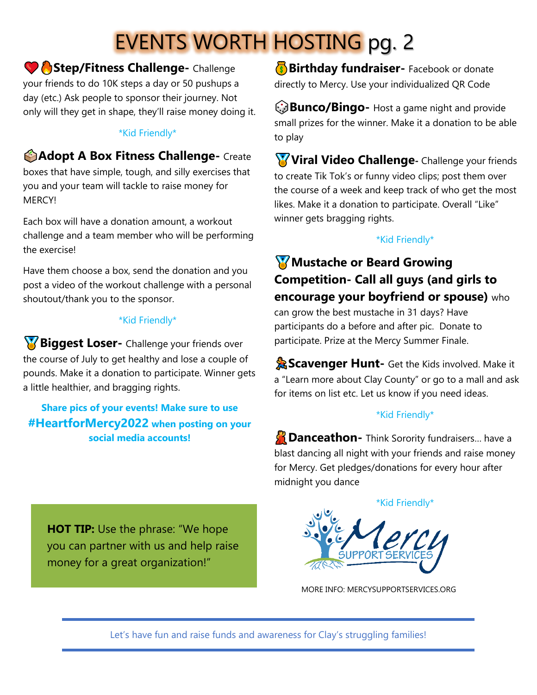# EVENTS WORTH HOSTING pg. 2

 $\bullet$  **Step/Fitness Challenge-** Challenge

your friends to do 10K steps a day or 50 pushups a day (etc.) Ask people to sponsor their journey. Not only will they get in shape, they'll raise money doing it.

#### \*Kid Friendly\*

### $\bigcirc$ **Adopt A Box Fitness Challenge-** Create

boxes that have simple, tough, and silly exercises that you and your team will tackle to raise money for **MERCYI** 

Each box will have a donation amount, a workout challenge and a team member who will be performing the exercise!

Have them choose a box, send the donation and you post a video of the workout challenge with a personal shoutout/thank you to the sponsor.

#### \*Kid Friendly\*

**Biggest Loser-** Challenge your friends over the course of July to get healthy and lose a couple of pounds. Make it a donation to participate. Winner gets a little healthier, and bragging rights.

**Share pics of your events! Make sure to use #HeartforMercy2022 when posting on your social media accounts!**

**Birthday fundraiser-** Facebook or donate directly to Mercy. Use your individualized QR Code

 $\odot$ **Bunco/Bingo-** Host a game night and provide small prizes for the winner. Make it a donation to be able to play

**W** Viral Video Challenge- Challenge your friends to create Tik Tok's or funny video clips; post them over the course of a week and keep track of who get the most likes. Make it a donation to participate. Overall "Like" winner gets bragging rights.

#### \*Kid Friendly\*

## ������**Mustache or Beard Growing Competition- Call all guys (and girls to encourage your boyfriend or spouse)** who

can grow the best mustache in 31 days? Have participants do a before and after pic. Donate to participate. Prize at the Mercy Summer Finale.

**AScavenger Hunt-** Get the Kids involved. Make it a "Learn more about Clay County" or go to a mall and ask for items on list etc. Let us know if you need ideas.

#### \*Kid Friendly\*

**Danceathon-** Think Sorority fundraisers... have a blast dancing all night with your friends and raise money for Mercy. Get pledges/donations for every hour after midnight you dance



MORE INFO: MERCYSUPPORTSERVICES.ORG

**HOT TIP:** Use the phrase: "We hope you can partner with us and help raise money for a great organization!"

Let's have fun and raise funds and awareness for Clay's struggling families!